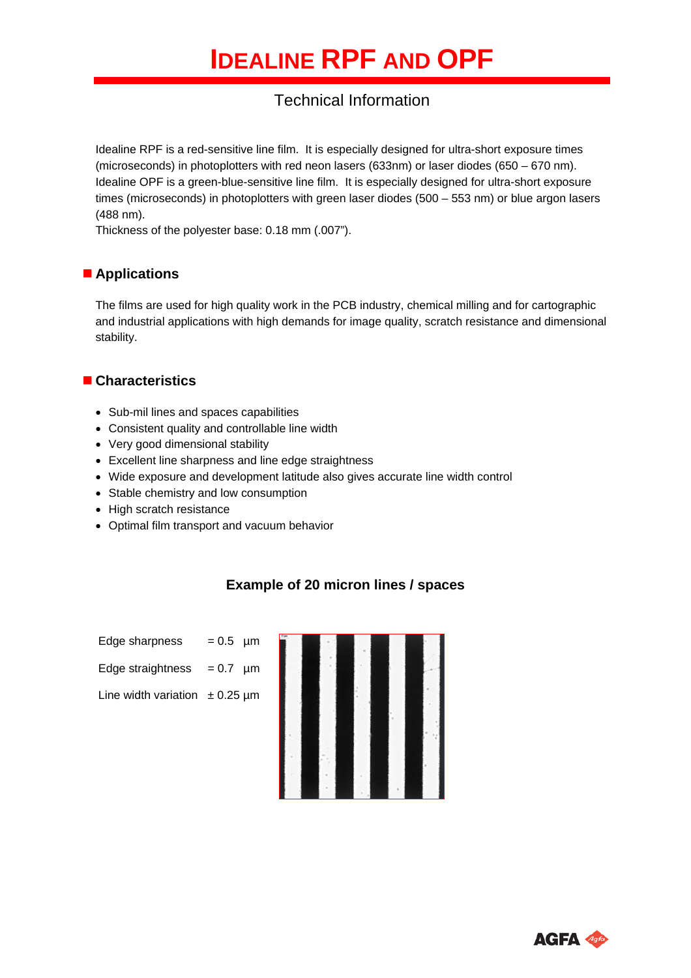# Technical Information

Idealine RPF is a red-sensitive line film. It is especially designed for ultra-short exposure times (microseconds) in photoplotters with red neon lasers (633nm) or laser diodes (650 – 670 nm). Idealine OPF is a green-blue-sensitive line film. It is especially designed for ultra-short exposure times (microseconds) in photoplotters with green laser diodes (500 – 553 nm) or blue argon lasers (488 nm).

Thickness of the polyester base: 0.18 mm (.007").

# **Applications**

The films are used for high quality work in the PCB industry, chemical milling and for cartographic and industrial applications with high demands for image quality, scratch resistance and dimensional stability.

# **Characteristics**

- Sub-mil lines and spaces capabilities
- Consistent quality and controllable line width
- Very good dimensional stability
- Excellent line sharpness and line edge straightness
- Wide exposure and development latitude also gives accurate line width control
- Stable chemistry and low consumption
- High scratch resistance
- Optimal film transport and vacuum behavior

# **Example of 20 micron lines / spaces**

| Edge sharpness    | $= 0.5 \mu m$    |  |
|-------------------|------------------|--|
| Edge straightness | $= 0.7 \; \mu m$ |  |

Line width variation  $\pm$  0.25 µm



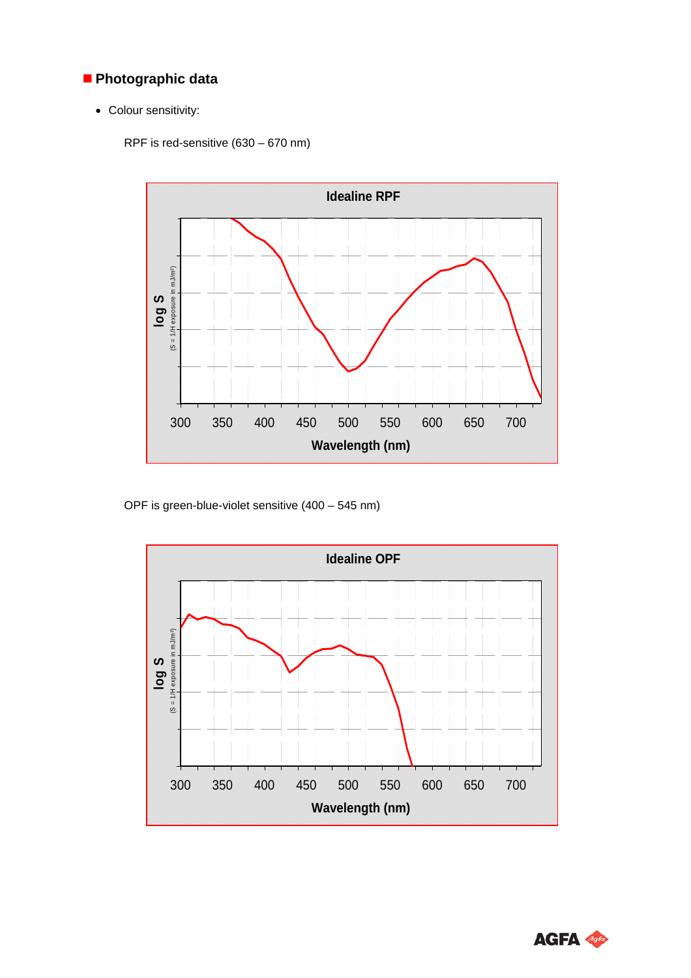# **Photographic data**

Colour sensitivity:

RPF is red-sensitive (630 – 670 nm)



OPF is green-blue-violet sensitive (400 – 545 nm)



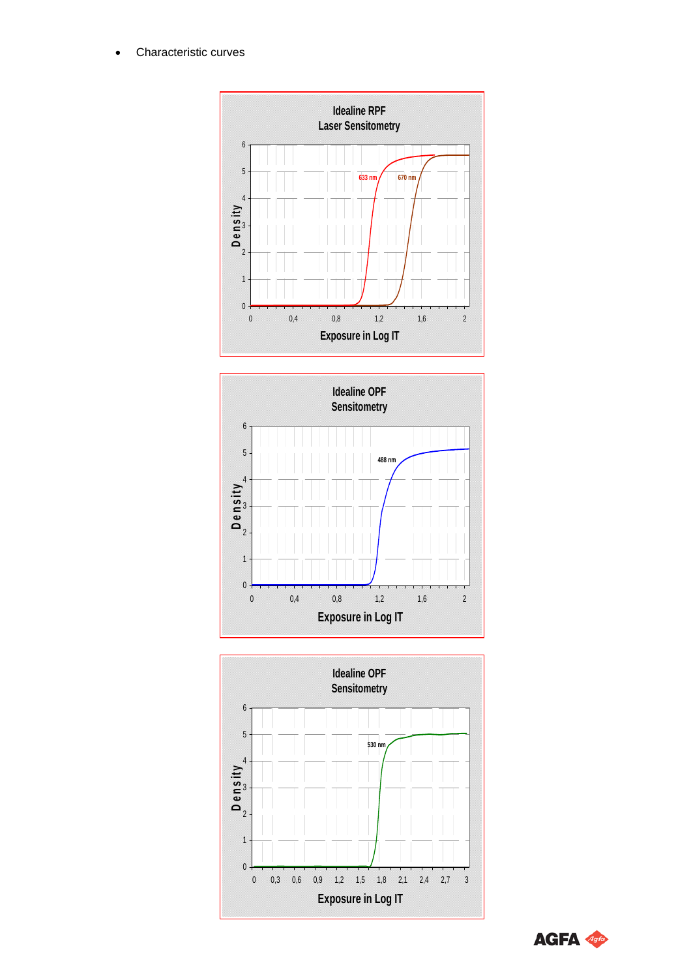Characteristic curves







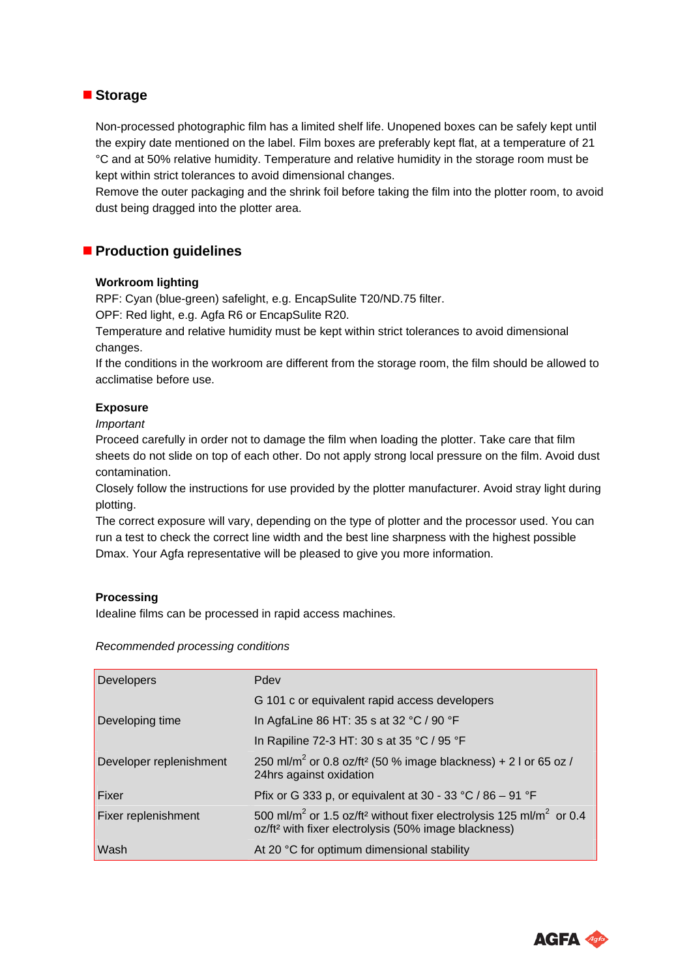### ■ Storage

Non-processed photographic film has a limited shelf life. Unopened boxes can be safely kept until the expiry date mentioned on the label. Film boxes are preferably kept flat, at a temperature of 21 °C and at 50% relative humidity. Temperature and relative humidity in the storage room must be kept within strict tolerances to avoid dimensional changes.

Remove the outer packaging and the shrink foil before taking the film into the plotter room, to avoid dust being dragged into the plotter area.

### **Production guidelines**

#### **Workroom lighting**

RPF: Cyan (blue-green) safelight, e.g. EncapSulite T20/ND.75 filter.

OPF: Red light, e.g. Agfa R6 or EncapSulite R20.

Temperature and relative humidity must be kept within strict tolerances to avoid dimensional changes.

If the conditions in the workroom are different from the storage room, the film should be allowed to acclimatise before use.

#### **Exposure**

*Important* 

Proceed carefully in order not to damage the film when loading the plotter. Take care that film sheets do not slide on top of each other. Do not apply strong local pressure on the film. Avoid dust contamination.

Closely follow the instructions for use provided by the plotter manufacturer. Avoid stray light during plotting.

The correct exposure will vary, depending on the type of plotter and the processor used. You can run a test to check the correct line width and the best line sharpness with the highest possible Dmax. Your Agfa representative will be pleased to give you more information.

#### **Processing**

Idealine films can be processed in rapid access machines.

#### *Recommended processing conditions*

| Developers                 | Pdev                                                                                                                                                                        |
|----------------------------|-----------------------------------------------------------------------------------------------------------------------------------------------------------------------------|
|                            | G 101 c or equivalent rapid access developers                                                                                                                               |
| Developing time            | In AgfaLine 86 HT: 35 s at 32 °C / 90 °F                                                                                                                                    |
|                            | In Rapiline 72-3 HT: 30 s at 35 °C / 95 °F                                                                                                                                  |
| Developer replenishment    | 250 ml/m <sup>2</sup> or 0.8 oz/ft <sup>2</sup> (50 % image blackness) + 2 l or 65 oz /<br>24hrs against oxidation                                                          |
| l Fixer                    | Pfix or G 333 p, or equivalent at 30 - 33 °C / 86 - 91 °F                                                                                                                   |
| <b>Fixer replenishment</b> | 500 ml/m <sup>2</sup> or 1.5 oz/ft <sup>2</sup> without fixer electrolysis 125 ml/m <sup>2</sup> or 0.4<br>oz/ft <sup>2</sup> with fixer electrolysis (50% image blackness) |
| Wash                       | At 20 °C for optimum dimensional stability                                                                                                                                  |